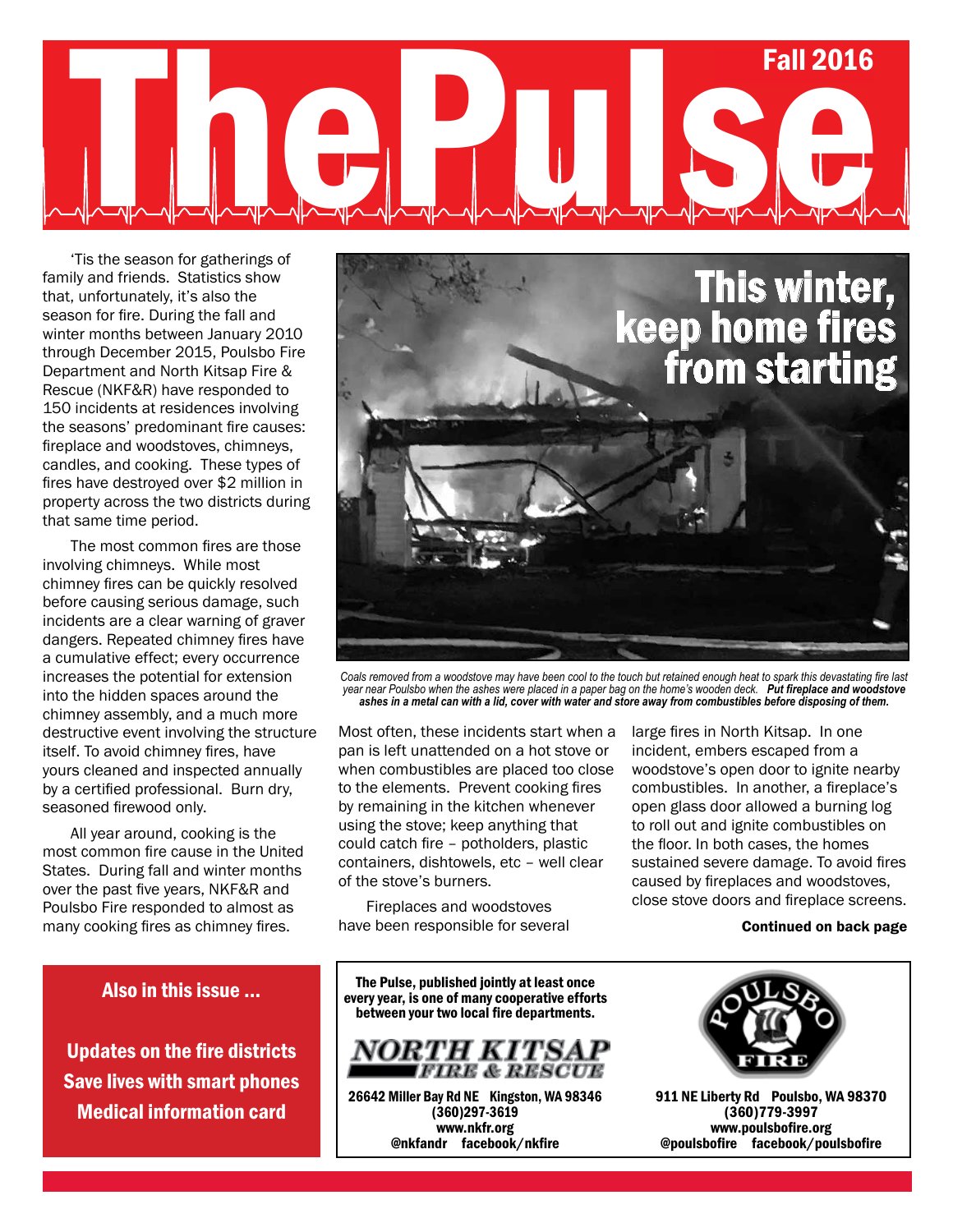## Summer 2013 Fall 2014 Fall 2016 Fall 2016

'Tis the season for gatherings of family and friends. Statistics show that, unfortunately, it's also the season for fire. During the fall and winter months between January 2010 through December 2015, Poulsbo Fire Department and North Kitsap Fire & Rescue (NKF&R) have responded to 150 incidents at residences involving the seasons' predominant fire causes: fireplace and woodstoves, chimneys, candles, and cooking. These types of fires have destroyed over \$2 million in property across the two districts during that same time period.

The most common fires are those involving chimneys. While most chimney fires can be quickly resolved before causing serious damage, such incidents are a clear warning of graver dangers. Repeated chimney fires have a cumulative effect; every occurrence increases the potential for extension into the hidden spaces around the chimney assembly, and a much more destructive event involving the structure itself. To avoid chimney fires, have yours cleaned and inspected annually by a certified professional. Burn dry, seasoned firewood only.

All year around, cooking is the most common fire cause in the United States. During fall and winter months over the past five years, NKF&R and Poulsbo Fire responded to almost as many cooking fires as chimney fires.

### Also in this issue ...

Updates on the fire districts Save lives with smart phones Medical information card



*Coals removed from a woodstove may have been cool to the touch but retained enough heat to spark this devastating fire last year near Poulsbo when the ashes were placed in a paper bag on the home's wooden deck. Put fireplace and woodstove ashes in a metal can with a lid, cover with water and store away from combustibles before disposing of them.* 

Most often, these incidents start when a pan is left unattended on a hot stove or when combustibles are placed too close to the elements. Prevent cooking fires by remaining in the kitchen whenever using the stove; keep anything that could catch fire – potholders, plastic containers, dishtowels, etc – well clear of the stove's burners.

Fireplaces and woodstoves have been responsible for several large fires in North Kitsap. In one incident, embers escaped from a woodstove's open door to ignite nearby combustibles. In another, a fireplace's open glass door allowed a burning log to roll out and ignite combustibles on the floor. In both cases, the homes sustained severe damage. To avoid fires caused by fireplaces and woodstoves, close stove doors and fireplace screens.

#### Continued on back page

The Pulse, published jointly at least once every year, is one of many cooperative efforts between your two local fire departments.



26642 Miller Bay Rd NE Kingston, WA 98346 (360)297-3619 www.nkfr.org @nkfandr facebook/nkfire



911 NE Liberty Rd Poulsbo, WA 98370 (360)779-3997 www.poulsbofire.org @poulsbofire facebook/poulsbofire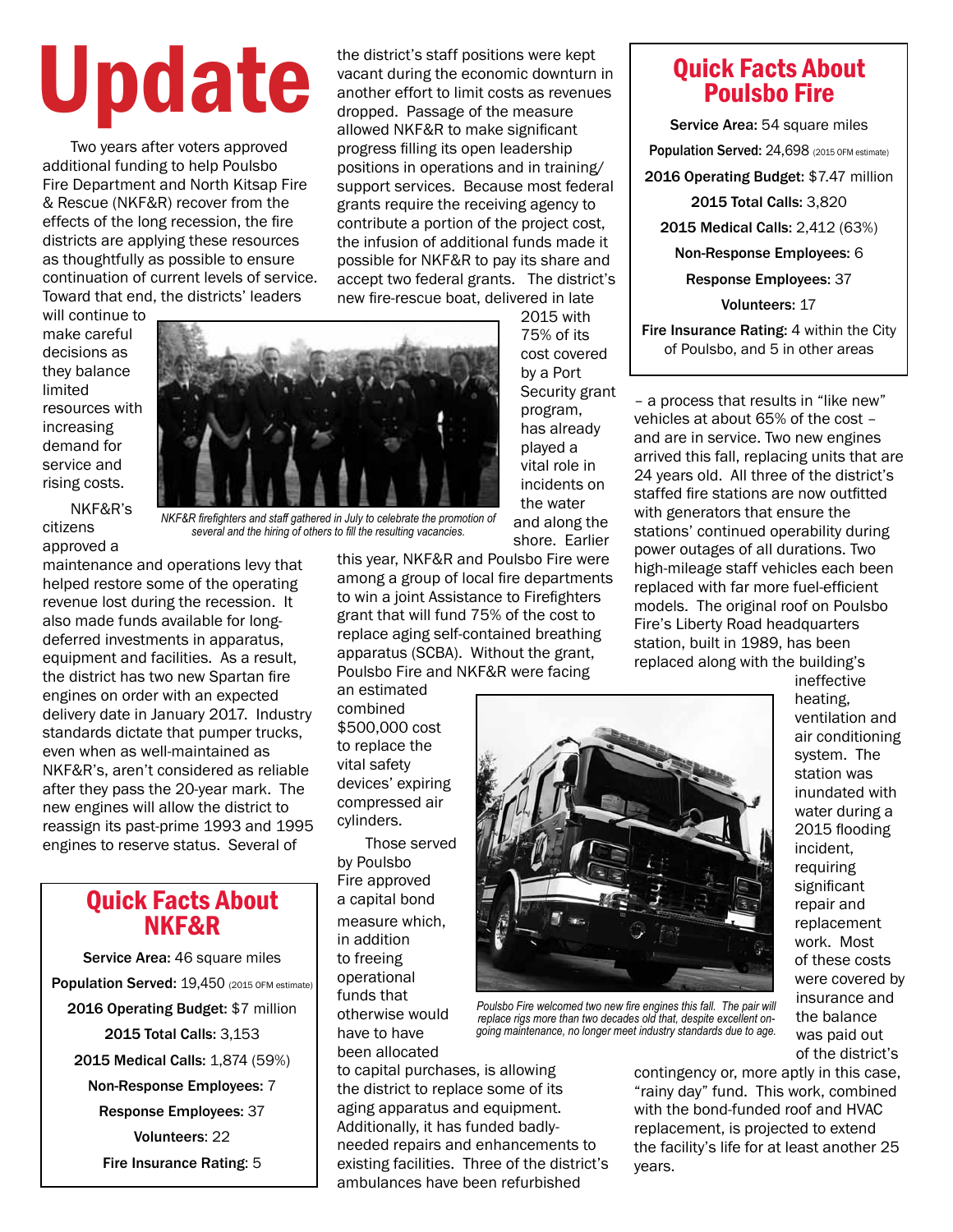# the district's staff positions were kept<br>vacant during the economic downturn<br>another effort to limit costs as revenue<br>dropped. Passage of the measure

Two years after voters approved additional funding to help Poulsbo Fire Department and North Kitsap Fire & Rescue (NKF&R) recover from the effects of the long recession, the fire districts are applying these resources as thoughtfully as possible to ensure continuation of current levels of service. Toward that end, the districts' leaders

vacant during the economic downturn in another effort to limit costs as revenues dropped. Passage of the measure allowed NKF&R to make significant progress filling its open leadership positions in operations and in training/ support services. Because most federal grants require the receiving agency to contribute a portion of the project cost, the infusion of additional funds made it possible for NKF&R to pay its share and accept two federal grants. The district's new fire-rescue boat, delivered in late 2015 with

will continue to make careful decisions as they balance limited resources with increasing demand for service and rising costs.

NKF&R's citizens approved a



maintenance and operations levy that helped restore some of the operating revenue lost during the recession. It also made funds available for longdeferred investments in apparatus, equipment and facilities. As a result, the district has two new Spartan fire engines on order with an expected delivery date in January 2017. Industry standards dictate that pumper trucks, even when as well-maintained as NKF&R's, aren't considered as reliable after they pass the 20-year mark. The new engines will allow the district to reassign its past-prime 1993 and 1995 engines to reserve status. Several of

### Quick Facts About NKF&R

Service Area: 46 square miles Population Served: 19,450 (2015 OFM estimate) 2016 Operating Budget: \$7 million 2015 Total Calls: 3,153 2015 Medical Calls: 1,874 (59%) Non-Response Employees: 7 Response Employees: 37 Volunteers: 22 Fire Insurance Rating: 5

vital role in incidents on the water and along the shore. Earlier this year, NKF&R and Poulsbo Fire were among a group of local fire departments to win a joint Assistance to Firefighters grant that will fund 75% of the cost to replace aging self-contained breathing

apparatus (SCBA). Without the grant,

75% of its cost covered by a Port Security grant program, has already played a

Poulsbo Fire and NKF&R were facing an estimated combined \$500,000 cost to replace the vital safety devices' expiring compressed air cylinders.

Those served by Poulsbo Fire approved a capital bond measure which, in addition to freeing operational funds that otherwise would have to have been allocated

to capital purchases, is allowing the district to replace some of its aging apparatus and equipment. Additionally, it has funded badlyneeded repairs and enhancements to existing facilities. Three of the district's ambulances have been refurbished

### Quick Facts About Poulsbo Fire

Service Area: 54 square miles Population Served: 24,698 (2015 OFM estimate) 2016 Operating Budget: \$7.47 million 2015 Total Calls: 3,820 2015 Medical Calls: 2,412 (63%) Non-Response Employees: 6 Response Employees: 37 Volunteers: 17

Fire Insurance Rating: 4 within the City of Poulsbo, and 5 in other areas

– a process that results in "like new" vehicles at about 65% of the cost – and are in service. Two new engines arrived this fall, replacing units that are 24 years old. All three of the district's staffed fire stations are now outfitted with generators that ensure the stations' continued operability during power outages of all durations. Two high-mileage staff vehicles each been replaced with far more fuel-efficient models. The original roof on Poulsbo Fire's Liberty Road headquarters station, built in 1989, has been replaced along with the building's



*Poulsbo Fire welcomed two new fire engines this fall. The pair will replace rigs more than two decades old that, despite excellent ongoing maintenance, no longer meet industry standards due to age.* 

ineffective heating, ventilation and air conditioning system. The station was inundated with water during a 2015 flooding incident, requiring significant repair and replacement work. Most of these costs were covered by insurance and the balance was paid out of the district's

contingency or, more aptly in this case, "rainy day" fund. This work, combined with the bond-funded roof and HVAC replacement, is projected to extend the facility's life for at least another 25 years.

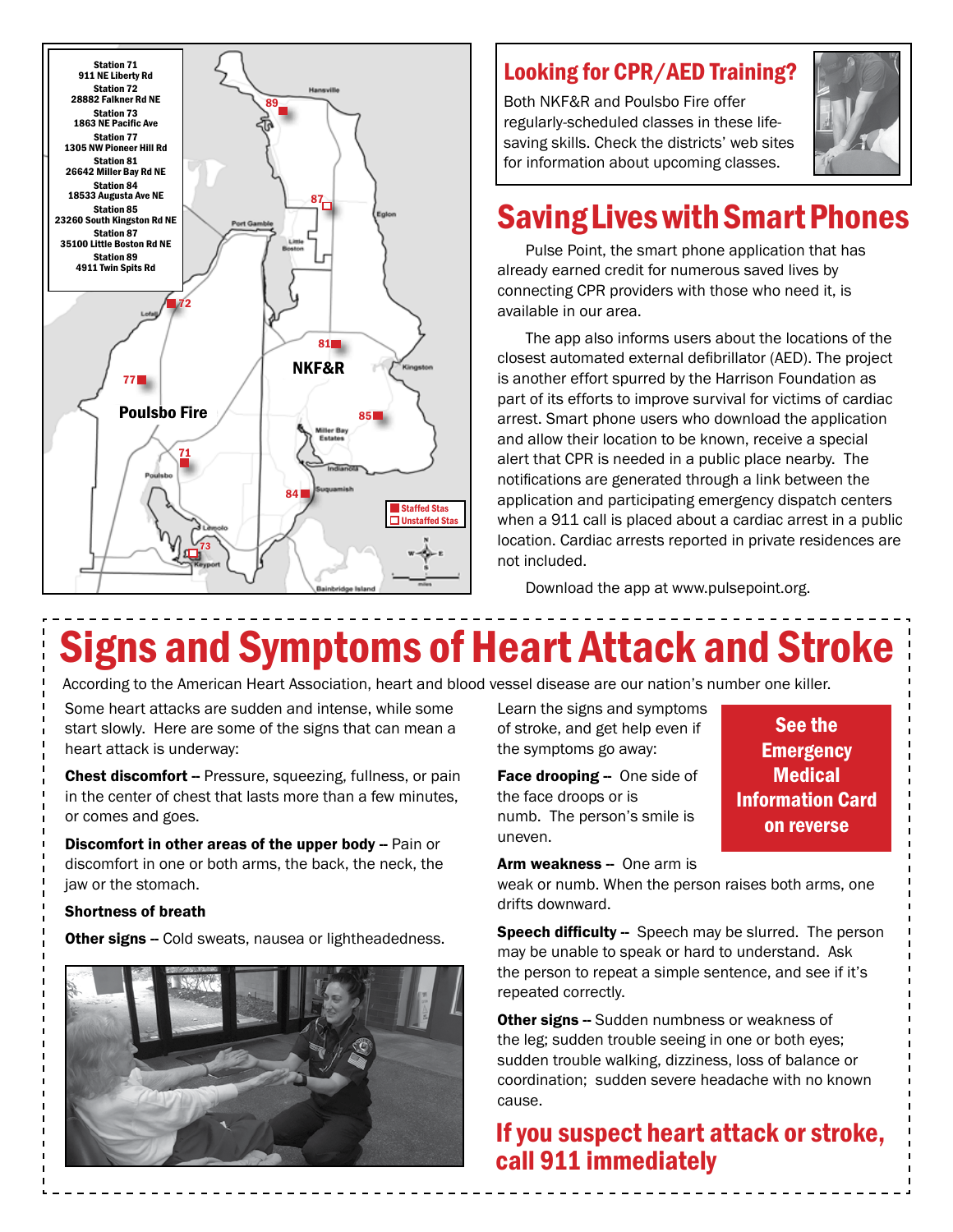

### Looking for CPR/AED Training?

Both NKF&R and Poulsbo Fire offer regularly-scheduled classes in these lifesaving skills. Check the districts' web sites for information about upcoming classes.



### Saving Lives with Smart Phones

Pulse Point, the smart phone application that has already earned credit for numerous saved lives by connecting CPR providers with those who need it, is available in our area.

The app also informs users about the locations of the closest automated external defibrillator (AED). The project is another effort spurred by the Harrison Foundation as part of its efforts to improve survival for victims of cardiac arrest. Smart phone users who download the application and allow their location to be known, receive a special alert that CPR is needed in a public place nearby. The notifications are generated through a link between the application and participating emergency dispatch centers when a 911 call is placed about a cardiac arrest in a public location. Cardiac arrests reported in private residences are not included.

Download the app at www.pulsepoint.org.

### Signs and Symptoms of Heart Attack and Stroke

According to the American Heart Association, heart and blood vessel disease are our nation's number one killer.

Some heart attacks are sudden and intense, while some start slowly. Here are some of the signs that can mean a heart attack is underway:

Chest discomfort -- Pressure, squeezing, fullness, or pain in the center of chest that lasts more than a few minutes, or comes and goes.

Discomfort in other areas of the upper body -- Pain or discomfort in one or both arms, the back, the neck, the jaw or the stomach.

#### Shortness of breath

**Other signs --** Cold sweats, nausea or lightheadedness.



Learn the signs and symptoms of stroke, and get help even if the symptoms go away:

Face drooping -- One side of the face droops or is numb. The person's smile is uneven.

See the **Emergency Medical** Information Card on reverse

#### Arm weakness - One arm is

weak or numb. When the person raises both arms, one drifts downward.

Speech difficulty -- Speech may be slurred. The person may be unable to speak or hard to understand. Ask the person to repeat a simple sentence, and see if it's repeated correctly.

**Other signs --** Sudden numbness or weakness of the leg; sudden trouble seeing in one or both eyes; sudden trouble walking, dizziness, loss of balance or coordination; sudden severe headache with no known cause.

### If you suspect heart attack or stroke, call 911 immediately